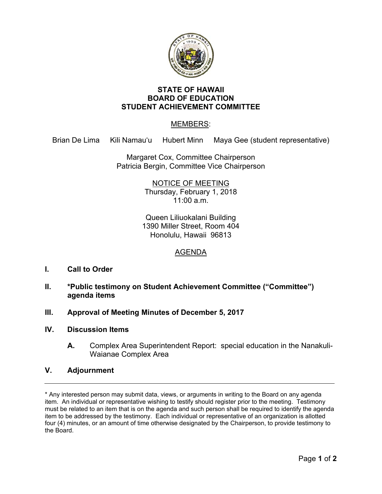

## **STATE OF HAWAII BOARD OF EDUCATION STUDENT ACHIEVEMENT COMMITTEE**

MEMBERS:

Brian De Lima Kili Namauʻu Hubert Minn Maya Gee (student representative)

Margaret Cox, Committee Chairperson Patricia Bergin, Committee Vice Chairperson

> NOTICE OF MEETING Thursday, February 1, 2018 11:00 a.m.

Queen Liliuokalani Building 1390 Miller Street, Room 404 Honolulu, Hawaii 96813

## AGENDA

- **I. Call to Order**
- **II. \*Public testimony on Student Achievement Committee ("Committee") agenda items**
- **III. Approval of Meeting Minutes of December 5, 2017**
- **IV. Discussion Items** 
	- **A.** Complex Area Superintendent Report: special education in the Nanakuli-Waianae Complex Area
- **V. Adjournment**

\* Any interested person may submit data, views, or arguments in writing to the Board on any agenda item. An individual or representative wishing to testify should register prior to the meeting. Testimony must be related to an item that is on the agenda and such person shall be required to identify the agenda item to be addressed by the testimony. Each individual or representative of an organization is allotted four (4) minutes, or an amount of time otherwise designated by the Chairperson, to provide testimony to the Board.